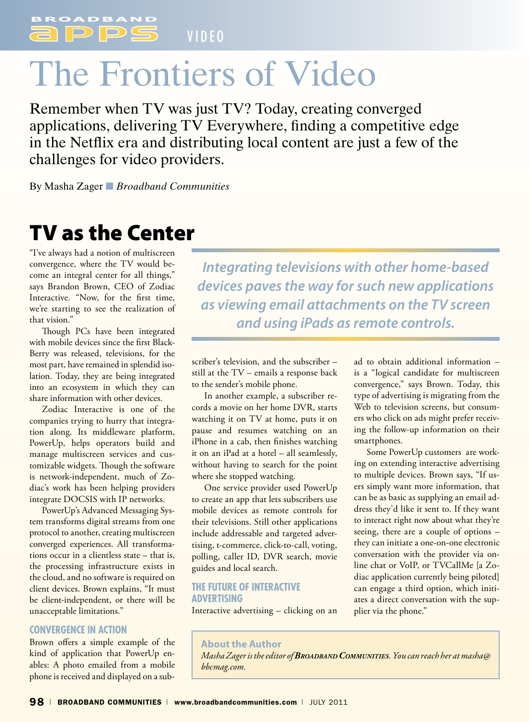V I D E O

# The Frontiers of Video

Remember when TV was just TV? Today, creating converged applications, delivering TV Everywhere, finding a competitive edge in the Netflix era and distributing local content are just a few of the challenges for video providers.

By Masha Zager ■ *Broadband Communities*

# TV as the Center

"I've always had a notion of multiscreen convergence, where the TV would become an integral center for all things," says Brandon Brown, CEO of Zodiac Interactive. "Now, for the first time, we're starting to see the realization of that vision."

Though PCs have been integrated with mobile devices since the first Black-Berry was released, televisions, for the most part, have remained in splendid isolation. Today, they are being integrated into an ecosystem in which they can share information with other devices.

Zodiac Interactive is one of the companies trying to hurry that integration along. Its middleware platform, PowerUp, helps operators build and manage multiscreen services and customizable widgets. Though the software is network-independent, much of Zodiac's work has been helping providers integrate DOCSIS with IP networks.

PowerUp's Advanced Messaging System transforms digital streams from one protocol to another, creating multiscreen converged experiences. All transformations occur in a clientless state – that is, the processing infrastructure exists in the cloud, and no software is required on client devices. Brown explains, "It must be client-independent, or there will be unacceptable limitations."

#### **Convergence in Action**

Brown offers a simple example of the kind of application that PowerUp enables: A photo emailed from a mobile phone is received and displayed on a sub-

*Integrating televisions with other home-based devices paves the way for such new applications as viewing email attachments on the TV screen and using iPads as remote controls.*

scriber's television, and the subscriber – still at the TV – emails a response back to the sender's mobile phone.

In another example, a subscriber records a movie on her home DVR, starts watching it on TV at home, puts it on pause and resumes watching on an iPhone in a cab, then finishes watching it on an iPad at a hotel – all seamlessly, without having to search for the point where she stopped watching.

One service provider used PowerUp to create an app that lets subscribers use mobile devices as remote controls for their televisions. Still other applications include addressable and targeted advertising, t-commerce, click-to-call, voting, polling, caller ID, DVR search, movie guides and local search.

### **The Future of Interactive Advertising**

Interactive advertising – clicking on an

ad to obtain additional information – is a "logical candidate for multiscreen convergence," says Brown. Today, this type of advertising is migrating from the Web to television screens, but consumers who click on ads might prefer receiving the follow-up information on their smartphones.

Some PowerUp customers are working on extending interactive advertising to multiple devices. Brown says, "If users simply want more information, that can be as basic as supplying an email address they'd like it sent to. If they want to interact right now about what they're seeing, there are a couple of options – they can initiate a one-on-one electronic conversation with the provider via online chat or VoIP, or TVCallMe [a Zodiac application currently being piloted] can engage a third option, which initiates a direct conversation with the supplier via the phone."

**About the Author** *Masha Zager is the editor of Broadband Communities. You can reach her at masha@ bbcmag.com.*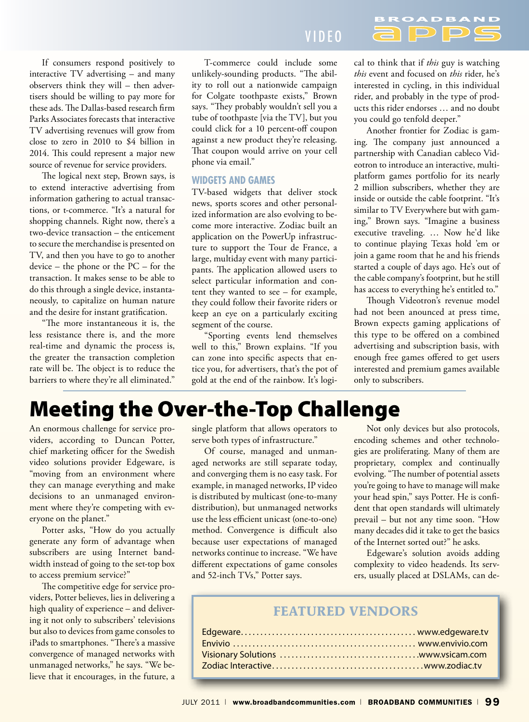If consumers respond positively to interactive TV advertising – and many observers think they will – then advertisers should be willing to pay more for these ads. The Dallas-based research firm Parks Associates forecasts that interactive TV advertising revenues will grow from close to zero in 2010 to \$4 billion in 2014. This could represent a major new source of revenue for service providers.

The logical next step, Brown says, is to extend interactive advertising from information gathering to actual transactions, or t-commerce. "It's a natural for shopping channels. Right now, there's a two-device transaction – the enticement to secure the merchandise is presented on TV, and then you have to go to another device – the phone or the PC – for the transaction. It makes sense to be able to do this through a single device, instantaneously, to capitalize on human nature and the desire for instant gratification.

"The more instantaneous it is, the less resistance there is, and the more real-time and dynamic the process is, the greater the transaction completion rate will be. The object is to reduce the barriers to where they're all eliminated."

## V I D E O

T-commerce could include some unlikely-sounding products. "The ability to roll out a nationwide campaign for Colgate toothpaste exists," Brown says. "They probably wouldn't sell you a tube of toothpaste [via the TV], but you could click for a 10 percent-off coupon against a new product they're releasing. That coupon would arrive on your cell phone via email."

#### **Widgets and Games**

TV-based widgets that deliver stock news, sports scores and other personalized information are also evolving to become more interactive. Zodiac built an application on the PowerUp infrastructure to support the Tour de France, a large, multiday event with many participants. The application allowed users to select particular information and content they wanted to see – for example, they could follow their favorite riders or keep an eye on a particularly exciting segment of the course.

"Sporting events lend themselves well to this," Brown explains. "If you can zone into specific aspects that entice you, for advertisers, that's the pot of gold at the end of the rainbow. It's logi-

cal to think that if *this* guy is watching *this* event and focused on *this* rider, he's interested in cycling, in this individual rider, and probably in the type of products this rider endorses … and no doubt you could go tenfold deeper."

 $\Box$ 

 $\Box$ 

Another frontier for Zodiac is gaming. The company just announced a partnership with Canadian cableco Videotron to introduce an interactive, multiplatform games portfolio for its nearly 2 million subscribers, whether they are inside or outside the cable footprint. "It's similar to TV Everywhere but with gaming," Brown says. "Imagine a business executive traveling. … Now he'd like to continue playing Texas hold 'em or join a game room that he and his friends started a couple of days ago. He's out of the cable company's footprint, but he still has access to everything he's entitled to."

Though Videotron's revenue model had not been anounced at press time, Brown expects gaming applications of this type to be offered on a combined advertising and subscription basis, with enough free games offered to get users interested and premium games available only to subscribers.

# Meeting the Over-the-Top Challenge

An enormous challenge for service providers, according to Duncan Potter, chief marketing officer for the Swedish video solutions provider Edgeware, is "moving from an environment where they can manage everything and make decisions to an unmanaged environment where they're competing with everyone on the planet."

Potter asks, "How do you actually generate any form of advantage when subscribers are using Internet bandwidth instead of going to the set-top box to access premium service?"

The competitive edge for service providers, Potter believes, lies in delivering a high quality of experience – and delivering it not only to subscribers' televisions but also to devices from game consoles to iPads to smartphones. "There's a massive convergence of managed networks with unmanaged networks," he says. "We believe that it encourages, in the future, a single platform that allows operators to serve both types of infrastructure."

Of course, managed and unmanaged networks are still separate today, and converging them is no easy task. For example, in managed networks, IP video is distributed by multicast (one-to-many distribution), but unmanaged networks use the less efficient unicast (one-to-one) method. Convergence is difficult also because user expectations of managed networks continue to increase. "We have different expectations of game consoles and 52-inch TVs," Potter says.

Not only devices but also protocols, encoding schemes and other technologies are proliferating. Many of them are proprietary, complex and continually evolving. "The number of potential assets you're going to have to manage will make your head spin," says Potter. He is confident that open standards will ultimately prevail – but not any time soon. "How many decades did it take to get the basics of the Internet sorted out?" he asks.

Edgeware's solution avoids adding complexity to video headends. Its servers, usually placed at DSLAMs, can de-

### **Featured Vendors**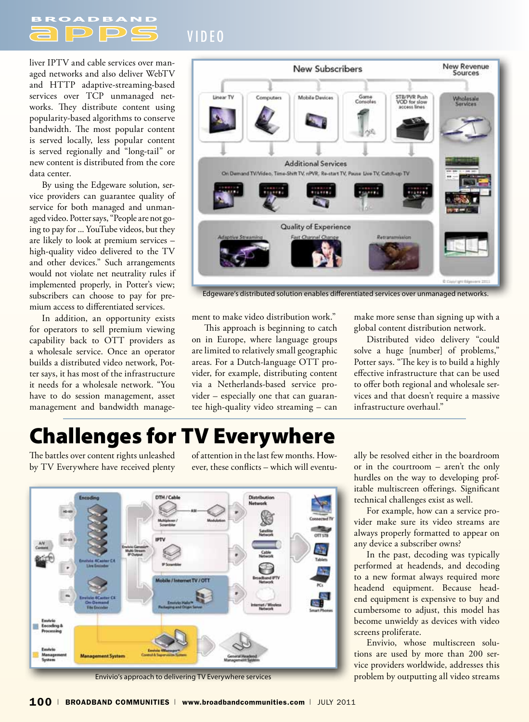V I D E O

liver IPTV and cable services over managed networks and also deliver WebTV and HTTP adaptive-streaming-based services over TCP unmanaged networks. They distribute content using popularity-based algorithms to conserve bandwidth. The most popular content is served locally, less popular content is served regionally and "long-tail" or new content is distributed from the core data center.

 $\Box$ 

By using the Edgeware solution, service providers can guarantee quality of service for both managed and unmanaged video. Potter says, "People are not going to pay for ... YouTube videos, but they are likely to look at premium services – high-quality video delivered to the TV and other devices." Such arrangements would not violate net neutrality rules if implemented properly, in Potter's view; subscribers can choose to pay for premium access to differentiated services.

In addition, an opportunity exists for operators to sell premium viewing capability back to OTT providers as a wholesale service. Once an operator builds a distributed video network, Potter says, it has most of the infrastructure it needs for a wholesale network. "You have to do session management, asset management and bandwidth manage-



Edgeware's distributed solution enables differentiated services over unmanaged networks.

ment to make video distribution work."

This approach is beginning to catch on in Europe, where language groups are limited to relatively small geographic areas. For a Dutch-language OTT provider, for example, distributing content via a Netherlands-based service provider – especially one that can guarantee high-quality video streaming – can

make more sense than signing up with a global content distribution network.

Distributed video delivery "could solve a huge [number] of problems," Potter says. "The key is to build a highly effective infrastructure that can be used to offer both regional and wholesale services and that doesn't require a massive infrastructure overhaul."

# Challenges for TV Everywhere

The battles over content rights unleashed by TV Everywhere have received plenty of attention in the last few months. However, these conflicts – which will eventu-



Envivio's approach to delivering TV Everywhere services

ally be resolved either in the boardroom or in the courtroom – aren't the only hurdles on the way to developing profitable multiscreen offerings. Significant technical challenges exist as well.

For example, how can a service provider make sure its video streams are always properly formatted to appear on any device a subscriber owns?

In the past, decoding was typically performed at headends, and decoding to a new format always required more headend equipment. Because headend equipment is expensive to buy and cumbersome to adjust, this model has become unwieldy as devices with video screens proliferate.

Envivio, whose multiscreen solutions are used by more than 200 service providers worldwide, addresses this problem by outputting all video streams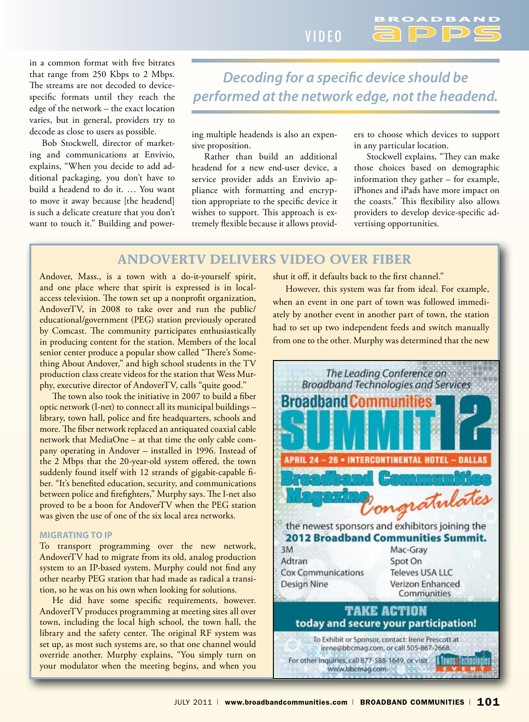V I D E O

in a common format with five bitrates that range from 250 Kbps to 2 Mbps. The streams are not decoded to devicespecific formats until they reach the edge of the network – the exact location varies, but in general, providers try to decode as close to users as possible.

Bob Stockwell, director of marketing and communications at Envivio, explains, "When you decide to add additional packaging, you don't have to build a headend to do it. … You want to move it away because [the headend] is such a delicate creature that you don't want to touch it." Building and power-

# *Decoding for a specific device should be performed at the network edge, not the headend.*

ing multiple headends is also an expensive proposition.

Rather than build an additional headend for a new end-user device, a service provider adds an Envivio appliance with formatting and encryption appropriate to the specific device it wishes to support. This approach is extremely flexible because it allows providers to choose which devices to support in any particular location.

Stockwell explains, "They can make those choices based on demographic information they gather – for example, iPhones and iPads have more impact on the coasts." This flexibility also allows providers to develop device-specific advertising opportunities.

### **AndoverTV Delivers Video Over Fiber**

Andover, Mass., is a town with a do-it-yourself spirit, and one place where that spirit is expressed is in localaccess television. The town set up a nonprofit organization, AndoverTV, in 2008 to take over and run the public/ educational/government (PEG) station previously operated by Comcast. The community participates enthusiastically in producing content for the station. Members of the local senior center produce a popular show called "There's Something About Andover," and high school students in the TV production class create videos for the station that Wess Murphy, executive director of AndoverTV, calls "quite good."

The town also took the initiative in 2007 to build a fiber optic network (I-net) to connect all its municipal buildings – library, town hall, police and fire headquarters, schools and more. The fiber network replaced an antiquated coaxial cable network that MediaOne – at that time the only cable company operating in Andover – installed in 1996. Instead of the 2 Mbps that the 20-year-old system offered, the town suddenly found itself with 12 strands of gigabit-capable fiber. "It's benefited education, security, and communications between police and firefighters," Murphy says. The I-net also proved to be a boon for AndoverTV when the PEG station was given the use of one of the six local area networks.

#### **Migrating to IP**

To transport programming over the new network, AndoverTV had to migrate from its old, analog production system to an IP-based system. Murphy could not find any other nearby PEG station that had made as radical a transition, so he was on his own when looking for solutions.

He did have some specific requirements, however. AndoverTV produces programming at meeting sites all over town, including the local high school, the town hall, the library and the safety center. The original RF system was set up, as most such systems are, so that one channel would override another. Murphy explains, "You simply turn on your modulator when the meeting begins, and when you

shut it off, it defaults back to the first channel."

However, this system was far from ideal. For example, when an event in one part of town was followed immediately by another event in another part of town, the station had to set up two independent feeds and switch manually from one to the other. Murphy was determined that the new